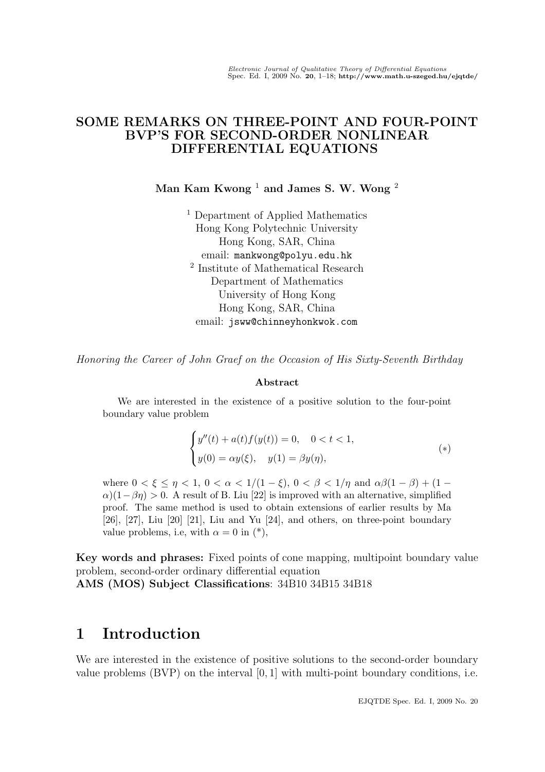### SOME REMARKS ON THREE-POINT AND FOUR-POINT BVP'S FOR SECOND-ORDER NONLINEAR DIFFERENTIAL EQUATIONS

Man Kam Kwong<sup>1</sup> and James S. W. Wong<sup>2</sup>

<sup>1</sup> Department of Applied Mathematics Hong Kong Polytechnic University Hong Kong, SAR, China email: mankwong@polyu.edu.hk 2 Institute of Mathematical Research Department of Mathematics University of Hong Kong Hong Kong, SAR, China email: jsww@chinneyhonkwok.com

Honoring the Career of John Graef on the Occasion of His Sixty-Seventh Birthday

#### Abstract

We are interested in the existence of a positive solution to the four-point boundary value problem

$$
\begin{cases}\ny''(t) + a(t)f(y(t)) = 0, & 0 < t < 1, \\
y(0) = \alpha y(\xi), & y(1) = \beta y(\eta),\n\end{cases} \tag{*}
$$

where  $0 < \xi \leq \eta < 1$ ,  $0 < \alpha < 1/(1 - \xi)$ ,  $0 < \beta < 1/\eta$  and  $\alpha\beta(1 - \beta) + (1 - \xi)$  $\alpha$ )(1− $\beta$ η) > 0. A result of B. Liu [22] is improved with an alternative, simplified proof. The same method is used to obtain extensions of earlier results by Ma [26], [27], Liu [20] [21], Liu and Yu [24], and others, on three-point boundary value problems, i.e, with  $\alpha = 0$  in  $(*)$ ,

Key words and phrases: Fixed points of cone mapping, multipoint boundary value problem, second-order ordinary differential equation AMS (MOS) Subject Classifications: 34B10 34B15 34B18

# 1 Introduction

We are interested in the existence of positive solutions to the second-order boundary value problems  $(BVP)$  on the interval  $[0, 1]$  with multi-point boundary conditions, i.e.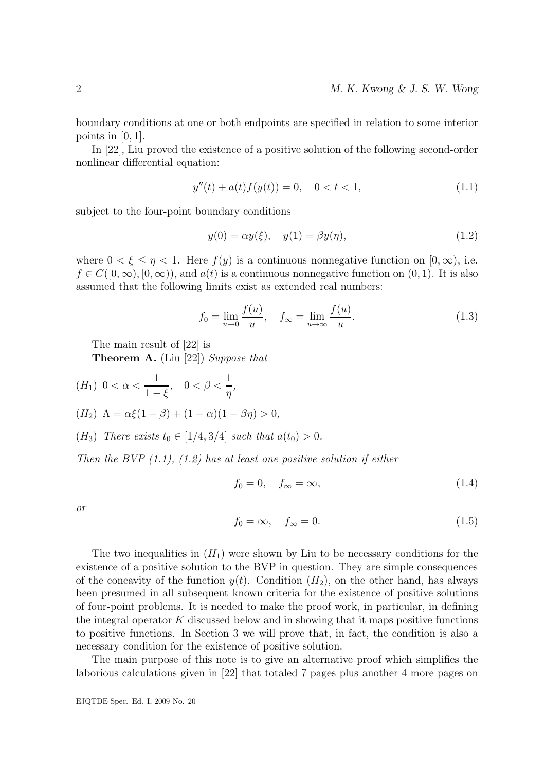boundary conditions at one or both endpoints are specified in relation to some interior points in  $[0, 1]$ .

In [22], Liu proved the existence of a positive solution of the following second-order nonlinear differential equation:

$$
y''(t) + a(t)f(y(t)) = 0, \quad 0 < t < 1,
$$
\n(1.1)

subject to the four-point boundary conditions

$$
y(0) = \alpha y(\xi), \quad y(1) = \beta y(\eta), \tag{1.2}
$$

where  $0 < \xi \leq \eta < 1$ . Here  $f(y)$  is a continuous nonnegative function on  $[0, \infty)$ , i.e.  $f \in C([0,\infty), [0,\infty))$ , and  $a(t)$  is a continuous nonnegative function on  $(0,1)$ . It is also assumed that the following limits exist as extended real numbers:

$$
f_0 = \lim_{u \to 0} \frac{f(u)}{u}, \quad f_{\infty} = \lim_{u \to \infty} \frac{f(u)}{u}.
$$
 (1.3)

The main result of [22] is

Theorem A. (Liu [22]) Suppose that

$$
(H_1) \ 0 < \alpha < \frac{1}{1 - \xi}, \quad 0 < \beta < \frac{1}{\eta},
$$
\n
$$
(H_2) \ \Lambda = \alpha \xi (1 - \beta) + (1 - \alpha)(1 - \beta \eta) > 0,
$$

 $(H_3)$  There exists  $t_0 \in [1/4, 3/4]$  such that  $a(t_0) > 0$ .

Then the BVP  $(1.1)$ ,  $(1.2)$  has at least one positive solution if either

$$
f_0 = 0, \quad f_{\infty} = \infty, \tag{1.4}
$$

or

$$
f_0 = \infty, \quad f_{\infty} = 0. \tag{1.5}
$$

The two inequalities in  $(H_1)$  were shown by Liu to be necessary conditions for the existence of a positive solution to the BVP in question. They are simple consequences of the concavity of the function  $y(t)$ . Condition  $(H_2)$ , on the other hand, has always been presumed in all subsequent known criteria for the existence of positive solutions of four-point problems. It is needed to make the proof work, in particular, in defining the integral operator  $K$  discussed below and in showing that it maps positive functions to positive functions. In Section 3 we will prove that, in fact, the condition is also a necessary condition for the existence of positive solution.

The main purpose of this note is to give an alternative proof which simplifies the laborious calculations given in [22] that totaled 7 pages plus another 4 more pages on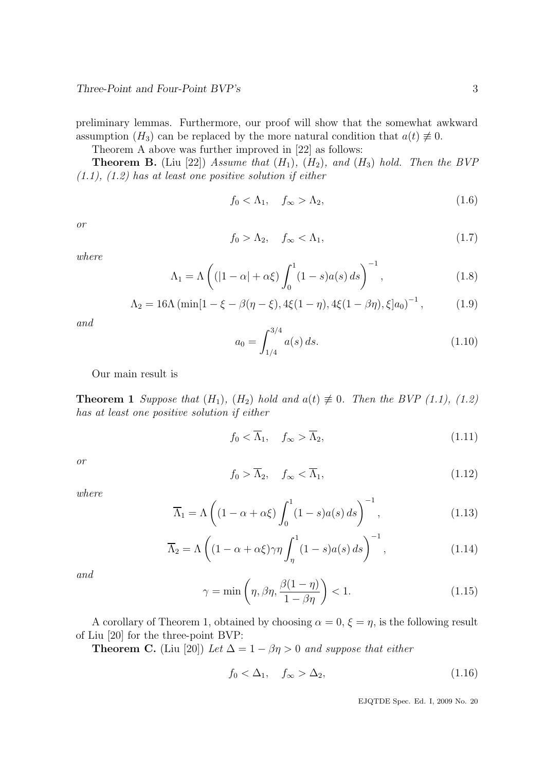preliminary lemmas. Furthermore, our proof will show that the somewhat awkward assumption  $(H_3)$  can be replaced by the more natural condition that  $a(t) \neq 0$ .

Theorem A above was further improved in [22] as follows:

**Theorem B.** (Liu [22]) Assume that  $(H_1)$ ,  $(H_2)$ , and  $(H_3)$  hold. Then the BVP  $(1.1), (1.2)$  has at least one positive solution if either

$$
f_0 < \Lambda_1, \quad f_\infty > \Lambda_2,\tag{1.6}
$$

or

$$
f_0 > \Lambda_2, \quad f_\infty < \Lambda_1,\tag{1.7}
$$

where

$$
\Lambda_1 = \Lambda \left( \left( |1 - \alpha| + \alpha \xi \right) \int_0^1 (1 - s) a(s) \, ds \right)^{-1},\tag{1.8}
$$

$$
\Lambda_2 = 16\Lambda \left( \min[1 - \xi - \beta(\eta - \xi), 4\xi(1 - \eta), 4\xi(1 - \beta\eta), \xi] a_0 \right)^{-1},\tag{1.9}
$$

and

$$
a_0 = \int_{1/4}^{3/4} a(s) \, ds. \tag{1.10}
$$

Our main result is

**Theorem 1** Suppose that  $(H_1)$ ,  $(H_2)$  hold and  $a(t) \neq 0$ . Then the BVP (1.1), (1.2) has at least one positive solution if either

$$
f_0 < \overline{\Lambda}_1, \quad f_\infty > \overline{\Lambda}_2,\tag{1.11}
$$

or

$$
f_0 > \overline{\Lambda}_2, \quad f_\infty < \overline{\Lambda}_1,\tag{1.12}
$$

where

$$
\overline{\Lambda}_1 = \Lambda \left( (1 - \alpha + \alpha \xi) \int_0^1 (1 - s) a(s) \, ds \right)^{-1},\tag{1.13}
$$

$$
\overline{\Lambda}_2 = \Lambda \left( (1 - \alpha + \alpha \xi) \gamma \eta \int_{\eta}^1 (1 - s) a(s) \, ds \right)^{-1},\tag{1.14}
$$

and

$$
\gamma = \min\left(\eta, \beta\eta, \frac{\beta(1-\eta)}{1-\beta\eta}\right) < 1. \tag{1.15}
$$

A corollary of Theorem 1, obtained by choosing  $\alpha = 0, \xi = \eta$ , is the following result of Liu [20] for the three-point BVP:

**Theorem C.** (Liu [20]) Let  $\Delta = 1 - \beta \eta > 0$  and suppose that either

$$
f_0 < \Delta_1, \quad f_\infty > \Delta_2,\tag{1.16}
$$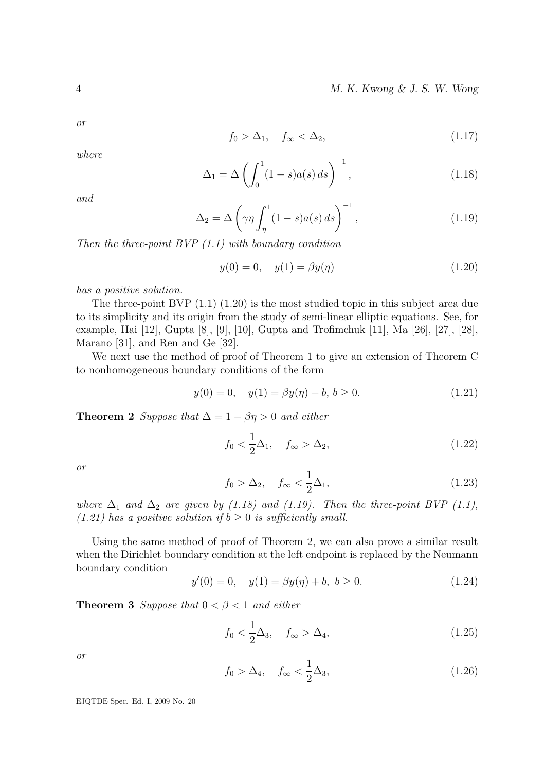or

$$
f_0 > \Delta_1, \quad f_\infty < \Delta_2,\tag{1.17}
$$

where

$$
\Delta_1 = \Delta \left( \int_0^1 (1 - s) a(s) \, ds \right)^{-1},\tag{1.18}
$$

and

$$
\Delta_2 = \Delta \left( \gamma \eta \int_{\eta}^{1} (1 - s) a(s) \, ds \right)^{-1},\tag{1.19}
$$

Then the three-point  $BVP(1.1)$  with boundary condition

$$
y(0) = 0, \quad y(1) = \beta y(\eta) \tag{1.20}
$$

has a positive solution.

The three-point BVP (1.1) (1.20) is the most studied topic in this subject area due to its simplicity and its origin from the study of semi-linear elliptic equations. See, for example, Hai [12], Gupta [8], [9], [10], Gupta and Trofimchuk [11], Ma [26], [27], [28], Marano [31], and Ren and Ge [32].

We next use the method of proof of Theorem 1 to give an extension of Theorem C to nonhomogeneous boundary conditions of the form

$$
y(0) = 0, \quad y(1) = \beta y(\eta) + b, \, b \ge 0. \tag{1.21}
$$

**Theorem 2** Suppose that  $\Delta = 1 - \beta \eta > 0$  and either

$$
f_0 < \frac{1}{2}\Delta_1, \quad f_\infty > \Delta_2,\tag{1.22}
$$

or

$$
f_0 > \Delta_2, \quad f_\infty < \frac{1}{2}\Delta_1,\tag{1.23}
$$

where  $\Delta_1$  and  $\Delta_2$  are given by (1.18) and (1.19). Then the three-point BVP (1.1), (1.21) has a positive solution if  $b \geq 0$  is sufficiently small.

Using the same method of proof of Theorem 2, we can also prove a similar result when the Dirichlet boundary condition at the left endpoint is replaced by the Neumann boundary condition

$$
y'(0) = 0, \quad y(1) = \beta y(\eta) + b, \ b \ge 0.
$$
 (1.24)

**Theorem 3** Suppose that  $0 < \beta < 1$  and either

$$
f_0 < \frac{1}{2}\Delta_3, \quad f_\infty > \Delta_4,\tag{1.25}
$$

or

$$
f_0 > \Delta_4, \quad f_\infty < \frac{1}{2}\Delta_3,\tag{1.26}
$$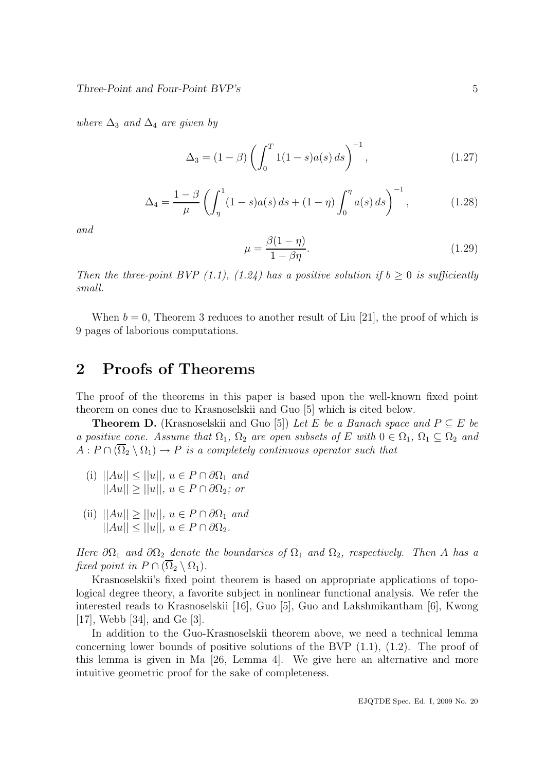where  $\Delta_3$  and  $\Delta_4$  are given by

$$
\Delta_3 = (1 - \beta) \left( \int_0^T 1(1 - s) a(s) ds \right)^{-1}, \tag{1.27}
$$

$$
\Delta_4 = \frac{1-\beta}{\mu} \left( \int_{\eta}^1 (1-s)a(s) \, ds + (1-\eta) \int_0^{\eta} a(s) \, ds \right)^{-1},\tag{1.28}
$$

and

$$
\mu = \frac{\beta(1-\eta)}{1-\beta\eta}.\tag{1.29}
$$

Then the three-point BVP (1.1), (1.24) has a positive solution if  $b \geq 0$  is sufficiently small.

When  $b = 0$ , Theorem 3 reduces to another result of Liu [21], the proof of which is 9 pages of laborious computations.

## 2 Proofs of Theorems

The proof of the theorems in this paper is based upon the well-known fixed point theorem on cones due to Krasnoselskii and Guo [5] which is cited below.

**Theorem D.** (Krasnoselskii and Guo [5]) Let E be a Banach space and  $P \subseteq E$  be a positive cone. Assume that  $\Omega_1$ ,  $\Omega_2$  are open subsets of E with  $0 \in \Omega_1$ ,  $\Omega_1 \subseteq \Omega_2$  and  $A: P \cap (\Omega_2 \setminus \Omega_1) \to P$  is a completely continuous operator such that

- (i)  $||Au|| \le ||u||$ ,  $u \in P \cap \partial \Omega_1$  and  $||Au|| > ||u||, u \in P \cap \partial \Omega_2$ ; or
- (ii)  $||Au|| \ge ||u||$ ,  $u \in P \cap \partial \Omega_1$  and  $||Au|| \le ||u||, u \in P \cap \partial \Omega_2.$

Here  $\partial\Omega_1$  and  $\partial\Omega_2$  denote the boundaries of  $\Omega_1$  and  $\Omega_2$ , respectively. Then A has a fixed point in  $P \cap (\overline{\Omega}_2 \setminus \Omega_1)$ .

Krasnoselskii's fixed point theorem is based on appropriate applications of topological degree theory, a favorite subject in nonlinear functional analysis. We refer the interested reads to Krasnoselskii [16], Guo [5], Guo and Lakshmikantham [6], Kwong [17], Webb [34], and Ge [3].

In addition to the Guo-Krasnoselskii theorem above, we need a technical lemma concerning lower bounds of positive solutions of the BVP (1.1), (1.2). The proof of this lemma is given in Ma [26, Lemma 4]. We give here an alternative and more intuitive geometric proof for the sake of completeness.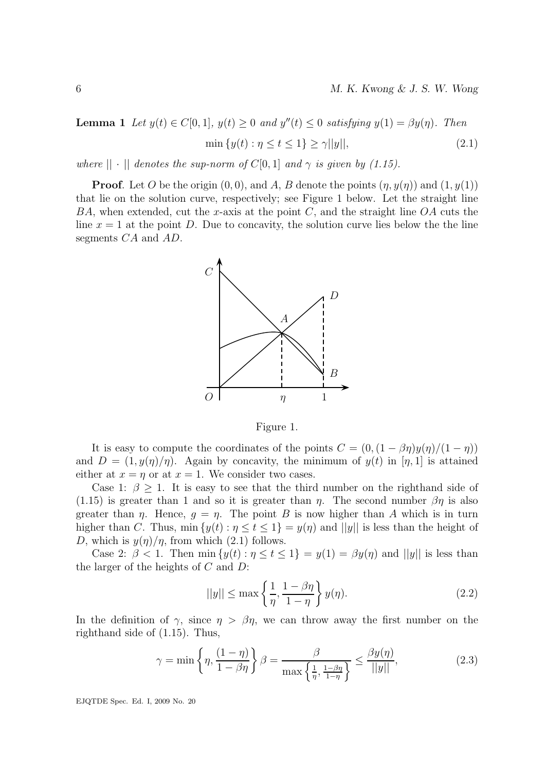**Lemma 1** Let  $y(t) \in C[0,1]$ ,  $y(t) \ge 0$  and  $y''(t) \le 0$  satisfying  $y(1) = \beta y(\eta)$ . Then min  $\{y(t) : \eta \le t \le 1\} \ge \gamma ||y||,$  (2.1)

where  $|| \cdot ||$  denotes the sup-norm of  $C[0, 1]$  and  $\gamma$  is given by (1.15).

**Proof.** Let O be the origin  $(0, 0)$ , and A, B denote the points  $(\eta, y(\eta))$  and  $(1, y(1))$ that lie on the solution curve, respectively; see Figure 1 below. Let the straight line BA, when extended, cut the x-axis at the point  $C$ , and the straight line  $OA$  cuts the line  $x = 1$  at the point D. Due to concavity, the solution curve lies below the the line segments CA and AD.



Figure 1.

It is easy to compute the coordinates of the points  $C = (0,(1 - \beta \eta)y(\eta)/(1 - \eta))$ and  $D = (1, y(\eta)/\eta)$ . Again by concavity, the minimum of  $y(t)$  in [ $\eta$ , 1] is attained either at  $x = \eta$  or at  $x = 1$ . We consider two cases.

Case 1:  $\beta > 1$ . It is easy to see that the third number on the righthand side of (1.15) is greater than 1 and so it is greater than  $\eta$ . The second number  $\beta\eta$  is also greater than  $\eta$ . Hence,  $g = \eta$ . The point B is now higher than A which is in turn higher than C. Thus, min  $\{y(t) : \eta \le t \le 1\} = y(\eta)$  and  $||y||$  is less than the height of D, which is  $y(\eta)/\eta$ , from which (2.1) follows.

Case 2:  $\beta$  < 1. Then min  $\{y(t): \eta \le t \le 1\} = y(1) = \beta y(\eta)$  and  $||y||$  is less than the larger of the heights of  $C$  and  $D$ :

$$
||y|| \le \max\left\{\frac{1}{\eta}, \frac{1-\beta\eta}{1-\eta}\right\} y(\eta). \tag{2.2}
$$

In the definition of  $\gamma$ , since  $\eta > \beta \eta$ , we can throw away the first number on the righthand side of (1.15). Thus,

$$
\gamma = \min\left\{\eta, \frac{(1-\eta)}{1-\beta\eta}\right\}\beta = \frac{\beta}{\max\left\{\frac{1}{\eta}, \frac{1-\beta\eta}{1-\eta}\right\}} \le \frac{\beta y(\eta)}{||y||},\tag{2.3}
$$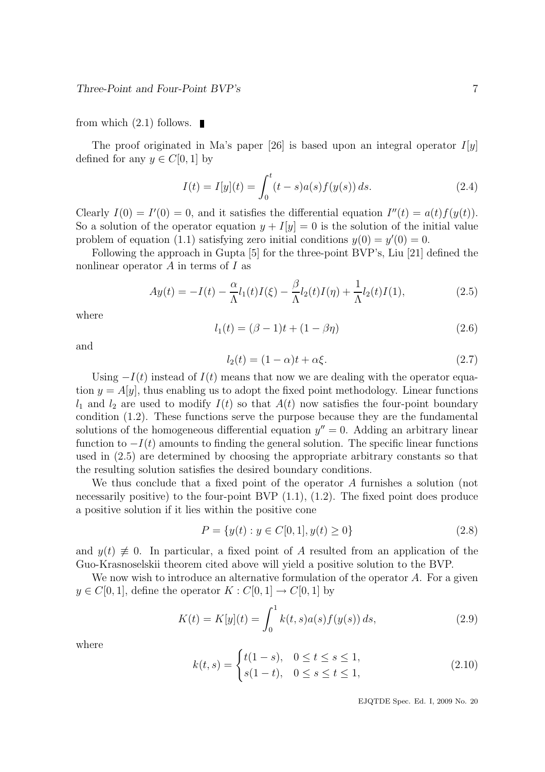#### from which  $(2.1)$  follows.

The proof originated in Ma's paper [26] is based upon an integral operator  $I[y]$ defined for any  $y \in C[0, 1]$  by

$$
I(t) = I[y](t) = \int_0^t (t - s)a(s)f(y(s)) ds.
$$
 (2.4)

Clearly  $I(0) = I'(0) = 0$ , and it satisfies the differential equation  $I''(t) = a(t)f(y(t))$ . So a solution of the operator equation  $y + I[y] = 0$  is the solution of the initial value problem of equation (1.1) satisfying zero initial conditions  $y(0) = y'(0) = 0$ .

Following the approach in Gupta [5] for the three-point BVP's, Liu [21] defined the nonlinear operator  $A$  in terms of  $I$  as

$$
Ay(t) = -I(t) - \frac{\alpha}{\Lambda}l_1(t)I(\xi) - \frac{\beta}{\Lambda}l_2(t)I(\eta) + \frac{1}{\Lambda}l_2(t)I(1),
$$
\n(2.5)

where

$$
l_1(t) = (\beta - 1)t + (1 - \beta \eta) \tag{2.6}
$$

and

$$
l_2(t) = (1 - \alpha)t + \alpha \xi.
$$
\n
$$
(2.7)
$$

Using  $-I(t)$  instead of  $I(t)$  means that now we are dealing with the operator equation  $y = A[y]$ , thus enabling us to adopt the fixed point methodology. Linear functions  $l_1$  and  $l_2$  are used to modify  $I(t)$  so that  $A(t)$  now satisfies the four-point boundary condition (1.2). These functions serve the purpose because they are the fundamental solutions of the homogeneous differential equation  $y'' = 0$ . Adding an arbitrary linear function to  $-I(t)$  amounts to finding the general solution. The specific linear functions used in (2.5) are determined by choosing the appropriate arbitrary constants so that the resulting solution satisfies the desired boundary conditions.

We thus conclude that a fixed point of the operator A furnishes a solution (not necessarily positive) to the four-point BVP  $(1.1)$ ,  $(1.2)$ . The fixed point does produce a positive solution if it lies within the positive cone

$$
P = \{y(t) : y \in C[0, 1], y(t) \ge 0\}
$$
\n
$$
(2.8)
$$

and  $y(t) \neq 0$ . In particular, a fixed point of A resulted from an application of the Guo-Krasnoselskii theorem cited above will yield a positive solution to the BVP.

We now wish to introduce an alternative formulation of the operator A. For a given  $y \in C[0, 1]$ , define the operator  $K : C[0, 1] \to C[0, 1]$  by

$$
K(t) = K[y](t) = \int_0^1 k(t, s)a(s)f(y(s)) ds,
$$
\n(2.9)

where

$$
k(t,s) = \begin{cases} t(1-s), & 0 \le t \le s \le 1, \\ s(1-t), & 0 \le s \le t \le 1, \end{cases}
$$
 (2.10)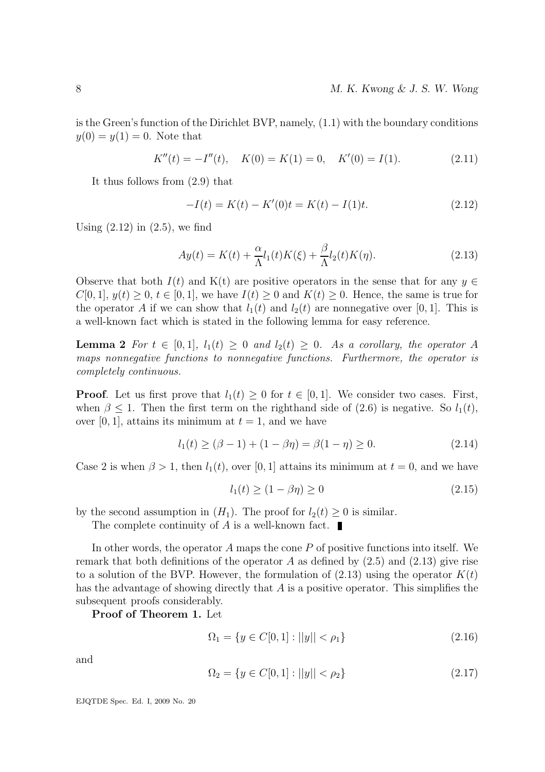is the Green's function of the Dirichlet BVP, namely, (1.1) with the boundary conditions  $y(0) = y(1) = 0$ . Note that

 $K''(t) = -I''(t), \quad K(0) = K(1) = 0, \quad K'(0) = I(1).$  (2.11)

It thus follows from (2.9) that

$$
-I(t) = K(t) - K'(0)t = K(t) - I(1)t.
$$
\n(2.12)

Using  $(2.12)$  in  $(2.5)$ , we find

$$
Ay(t) = K(t) + \frac{\alpha}{\Lambda}l_1(t)K(\xi) + \frac{\beta}{\Lambda}l_2(t)K(\eta). \tag{2.13}
$$

Observe that both  $I(t)$  and K(t) are positive operators in the sense that for any  $y \in$  $C[0, 1], y(t) \geq 0, t \in [0, 1],$  we have  $I(t) \geq 0$  and  $K(t) \geq 0$ . Hence, the same is true for the operator A if we can show that  $l_1(t)$  and  $l_2(t)$  are nonnegative over [0, 1]. This is a well-known fact which is stated in the following lemma for easy reference.

**Lemma 2** For  $t \in [0,1], l_1(t) \geq 0$  and  $l_2(t) \geq 0$ . As a corollary, the operator A maps nonnegative functions to nonnegative functions. Furthermore, the operator is completely continuous.

**Proof.** Let us first prove that  $l_1(t) \geq 0$  for  $t \in [0, 1]$ . We consider two cases. First, when  $\beta \leq 1$ . Then the first term on the righthand side of (2.6) is negative. So  $l_1(t)$ , over [0, 1], attains its minimum at  $t = 1$ , and we have

$$
l_1(t) \ge (\beta - 1) + (1 - \beta \eta) = \beta(1 - \eta) \ge 0.
$$
 (2.14)

Case 2 is when  $\beta > 1$ , then  $l_1(t)$ , over [0, 1] attains its minimum at  $t = 0$ , and we have

$$
l_1(t) \ge (1 - \beta \eta) \ge 0 \tag{2.15}
$$

by the second assumption in  $(H_1)$ . The proof for  $l_2(t) \geq 0$  is similar.

The complete continuity of  $A$  is a well-known fact.

In other words, the operator A maps the cone  $P$  of positive functions into itself. We remark that both definitions of the operator A as defined by  $(2.5)$  and  $(2.13)$  give rise to a solution of the BVP. However, the formulation of  $(2.13)$  using the operator  $K(t)$ has the advantage of showing directly that A is a positive operator. This simplifies the subsequent proofs considerably.

Proof of Theorem 1. Let

$$
\Omega_1 = \{ y \in C[0, 1] : ||y|| < \rho_1 \}
$$
\n
$$
(2.16)
$$

and

$$
\Omega_2 = \{ y \in C[0, 1] : ||y|| < \rho_2 \} \tag{2.17}
$$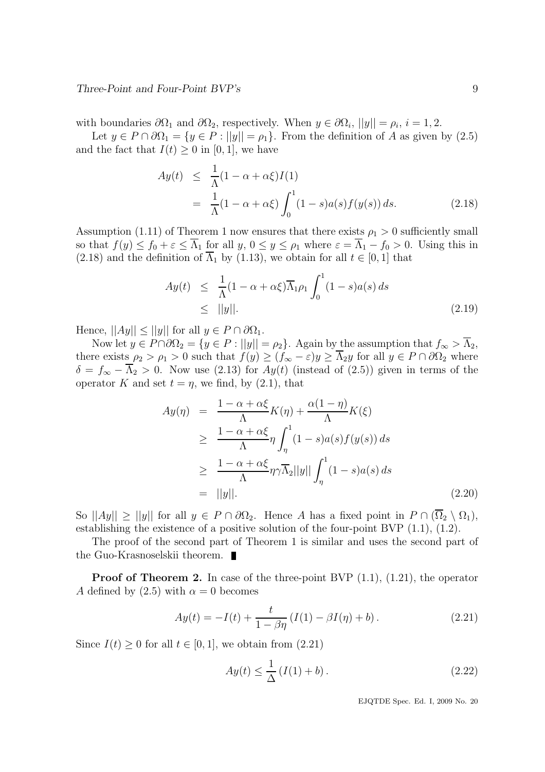with boundaries  $\partial\Omega_1$  and  $\partial\Omega_2$ , respectively. When  $y \in \partial\Omega_i$ ,  $||y|| = \rho_i$ ,  $i = 1, 2$ .

Let  $y \in P \cap \partial \Omega_1 = \{y \in P : ||y|| = \rho_1\}$ . From the definition of A as given by (2.5) and the fact that  $I(t) \geq 0$  in [0, 1], we have

$$
Ay(t) \leq \frac{1}{\Lambda}(1 - \alpha + \alpha \xi)I(1)
$$
  
= 
$$
\frac{1}{\Lambda}(1 - \alpha + \alpha \xi) \int_0^1 (1 - s)a(s)f(y(s)) ds.
$$
 (2.18)

Assumption (1.11) of Theorem 1 now ensures that there exists  $\rho_1 > 0$  sufficiently small so that  $f(y) \le f_0 + \varepsilon \le \overline{\Lambda}_1$  for all  $y, 0 \le y \le \rho_1$  where  $\varepsilon = \overline{\Lambda}_1 - f_0 > 0$ . Using this in  $(2.18)$  and the definition of  $\overline{\Lambda}_1$  by  $(1.13)$ , we obtain for all  $t \in [0, 1]$  that

$$
Ay(t) \leq \frac{1}{\Lambda}(1 - \alpha + \alpha \xi) \overline{\Lambda}_1 \rho_1 \int_0^1 (1 - s) a(s) ds
$$
  
 
$$
\leq ||y||. \tag{2.19}
$$

Hence,  $||Ay|| \le ||y||$  for all  $y \in P \cap \partial \Omega_1$ .

Now let  $y \in P \cap \partial \Omega_2 = \{y \in P : ||y|| = \rho_2\}$ . Again by the assumption that  $f_{\infty} > \overline{\Lambda}_2$ , there exists  $\rho_2 > \rho_1 > 0$  such that  $f(y) \ge (f_{\infty} - \varepsilon)y \ge \overline{\Lambda}_2 y$  for all  $y \in P \cap \partial \Omega_2$  where  $\delta = f_{\infty} - \overline{\Lambda}_{2} > 0$ . Now use (2.13) for  $Ay(t)$  (instead of (2.5)) given in terms of the operator K and set  $t = \eta$ , we find, by (2.1), that

$$
Ay(\eta) = \frac{1 - \alpha + \alpha\xi}{\Lambda} K(\eta) + \frac{\alpha(1 - \eta)}{\Lambda} K(\xi)
$$
  
\n
$$
\geq \frac{1 - \alpha + \alpha\xi}{\Lambda} \eta \int_{\eta}^{1} (1 - s)a(s) f(y(s)) ds
$$
  
\n
$$
\geq \frac{1 - \alpha + \alpha\xi}{\Lambda} \eta \gamma \overline{\Lambda}_{2} ||y|| \int_{\eta}^{1} (1 - s)a(s) ds
$$
  
\n
$$
= ||y||. \tag{2.20}
$$

So  $||Ay|| \ge ||y||$  for all  $y \in P \cap \partial \Omega_2$ . Hence A has a fixed point in  $P \cap (\Omega_2 \setminus \Omega_1)$ , establishing the existence of a positive solution of the four-point BVP (1.1), (1.2).

The proof of the second part of Theorem 1 is similar and uses the second part of the Guo-Krasnoselskii theorem.

**Proof of Theorem 2.** In case of the three-point BVP  $(1.1)$ ,  $(1.21)$ , the operator A defined by  $(2.5)$  with  $\alpha = 0$  becomes

$$
Ay(t) = -I(t) + \frac{t}{1 - \beta \eta} (I(1) - \beta I(\eta) + b).
$$
 (2.21)

Since  $I(t) \geq 0$  for all  $t \in [0, 1]$ , we obtain from  $(2.21)$ 

$$
Ay(t) \le \frac{1}{\Delta} (I(1) + b).
$$
 (2.22)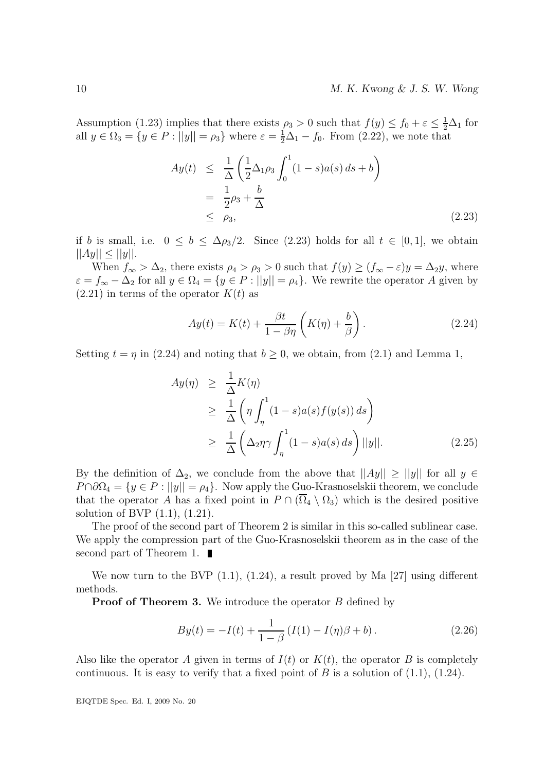Assumption (1.23) implies that there exists  $\rho_3 > 0$  such that  $f(y) \le f_0 + \varepsilon \le \frac{1}{2}\Delta_1$  for all  $y \in \Omega_3 = \{y \in P : ||y|| = \rho_3\}$  where  $\varepsilon = \frac{1}{2}\Delta_1 - f_0$ . From (2.22), we note that

$$
Ay(t) \leq \frac{1}{\Delta} \left( \frac{1}{2} \Delta_1 \rho_3 \int_0^1 (1 - s) a(s) ds + b \right)
$$
  
= 
$$
\frac{1}{2} \rho_3 + \frac{b}{\Delta}
$$
  
\$\leq \rho\_3\$, \qquad (2.23)

if b is small, i.e.  $0 \le b \le \Delta \rho_3/2$ . Since (2.23) holds for all  $t \in [0,1]$ , we obtain  $||Ay|| \le ||y||.$ 

When  $f_{\infty} > \Delta_2$ , there exists  $\rho_4 > \rho_3 > 0$  such that  $f(y) \ge (f_{\infty} - \varepsilon)y = \Delta_2 y$ , where  $\varepsilon = f_{\infty} - \Delta_2$  for all  $y \in \Omega_4 = \{y \in P : ||y|| = \rho_4\}.$  We rewrite the operator A given by  $(2.21)$  in terms of the operator  $K(t)$  as

$$
Ay(t) = K(t) + \frac{\beta t}{1 - \beta \eta} \left( K(\eta) + \frac{b}{\beta} \right). \tag{2.24}
$$

Setting  $t = \eta$  in (2.24) and noting that  $b \ge 0$ , we obtain, from (2.1) and Lemma 1,

$$
Ay(\eta) \geq \frac{1}{\Delta}K(\eta)
$$
  
\n
$$
\geq \frac{1}{\Delta} \left( \eta \int_{\eta}^{1} (1 - s) a(s) f(y(s)) ds \right)
$$
  
\n
$$
\geq \frac{1}{\Delta} \left( \Delta_2 \eta \gamma \int_{\eta}^{1} (1 - s) a(s) ds \right) ||y||. \tag{2.25}
$$

By the definition of  $\Delta_2$ , we conclude from the above that  $||Ay|| \ge ||y||$  for all  $y \in$  $P \cap \partial \Omega_4 = \{y \in P : ||y|| = \rho_4\}.$  Now apply the Guo-Krasnoselskii theorem, we conclude that the operator A has a fixed point in  $P \cap (\overline{\Omega}_4 \setminus \Omega_3)$  which is the desired positive solution of BVP (1.1), (1.21).

The proof of the second part of Theorem 2 is similar in this so-called sublinear case. We apply the compression part of the Guo-Krasnoselskii theorem as in the case of the second part of Theorem 1.

We now turn to the BVP  $(1.1)$ ,  $(1.24)$ , a result proved by Ma [27] using different methods.

**Proof of Theorem 3.** We introduce the operator B defined by

$$
By(t) = -I(t) + \frac{1}{1 - \beta} (I(1) - I(\eta)\beta + b).
$$
 (2.26)

Also like the operator A given in terms of  $I(t)$  or  $K(t)$ , the operator B is completely continuous. It is easy to verify that a fixed point of B is a solution of  $(1.1)$ ,  $(1.24)$ .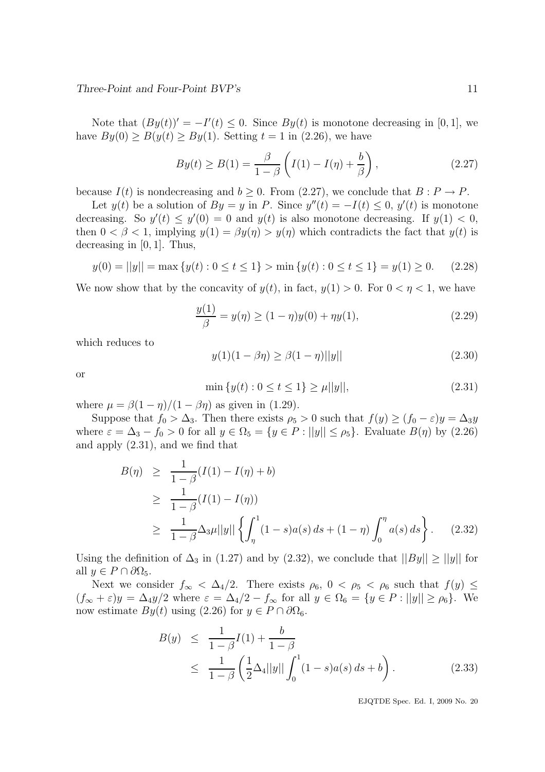Three-Point and Four-Point BVP's 11

Note that  $By(t)$ ' =  $-I'(t) \leq 0$ . Since  $By(t)$  is monotone decreasing in [0, 1], we have  $By(0) > B(y(t) > By(1)$ . Setting  $t = 1$  in (2.26), we have

$$
By(t) \ge B(1) = \frac{\beta}{1-\beta} \left( I(1) - I(\eta) + \frac{b}{\beta} \right),\tag{2.27}
$$

because  $I(t)$  is nondecreasing and  $b \geq 0$ . From (2.27), we conclude that  $B : P \to P$ .

Let  $y(t)$  be a solution of  $By = y$  in P. Since  $y''(t) = -I(t) \leq 0$ ,  $y'(t)$  is monotone decreasing. So  $y'(t) \leq y'(0) = 0$  and  $y(t)$  is also monotone decreasing. If  $y(1) < 0$ , then  $0 < \beta < 1$ , implying  $y(1) = \beta y(\eta) > y(\eta)$  which contradicts the fact that  $y(t)$  is decreasing in [0, 1]. Thus,

$$
y(0) = ||y|| = \max \{ y(t) : 0 \le t \le 1 \} > \min \{ y(t) : 0 \le t \le 1 \} = y(1) \ge 0. \tag{2.28}
$$

We now show that by the concavity of  $y(t)$ , in fact,  $y(1) > 0$ . For  $0 < \eta < 1$ , we have

$$
\frac{y(1)}{\beta} = y(\eta) \ge (1 - \eta)y(0) + \eta y(1),\tag{2.29}
$$

which reduces to

$$
y(1)(1 - \beta \eta) \ge \beta(1 - \eta) ||y|| \tag{2.30}
$$

or

$$
\min \{ y(t) : 0 \le t \le 1 \} \ge \mu ||y||,\tag{2.31}
$$

where  $\mu = \beta(1 - \eta)/(1 - \beta\eta)$  as given in (1.29).

Suppose that  $f_0 > \Delta_3$ . Then there exists  $\rho_5 > 0$  such that  $f(y) \ge (f_0 - \varepsilon)y = \Delta_3 y$ where  $\varepsilon = \Delta_3 - f_0 > 0$  for all  $y \in \Omega_5 = \{y \in P : ||y|| \le \rho_5\}$ . Evaluate  $B(\eta)$  by (2.26) and apply (2.31), and we find that

$$
B(\eta) \geq \frac{1}{1-\beta}(I(1) - I(\eta) + b)
$$
  
\n
$$
\geq \frac{1}{1-\beta}(I(1) - I(\eta))
$$
  
\n
$$
\geq \frac{1}{1-\beta}\Delta_3\mu||y||\left\{\int_{\eta}^1 (1-s)a(s) ds + (1-\eta) \int_0^{\eta} a(s) ds\right\}.
$$
 (2.32)

Using the definition of  $\Delta_3$  in (1.27) and by (2.32), we conclude that  $||By|| \ge ||y||$  for all  $y \in P \cap \partial \Omega_5$ .

Next we consider  $f_{\infty} < \Delta_4/2$ . There exists  $\rho_6$ ,  $0 < \rho_5 < \rho_6$  such that  $f(y) \le$  $(f_{\infty} + \varepsilon)y = \Delta_4 y/2$  where  $\varepsilon = \Delta_4/2 - f_{\infty}$  for all  $y \in \Omega_6 = \{y \in P : ||y|| \ge \rho_6\}$ . We now estimate  $By(t)$  using (2.26) for  $y \in P \cap \partial \Omega_6$ .

$$
B(y) \leq \frac{1}{1-\beta}I(1) + \frac{b}{1-\beta}
$$
  
 
$$
\leq \frac{1}{1-\beta} \left(\frac{1}{2}\Delta_4||y|| \int_0^1 (1-s)a(s) ds + b\right).
$$
 (2.33)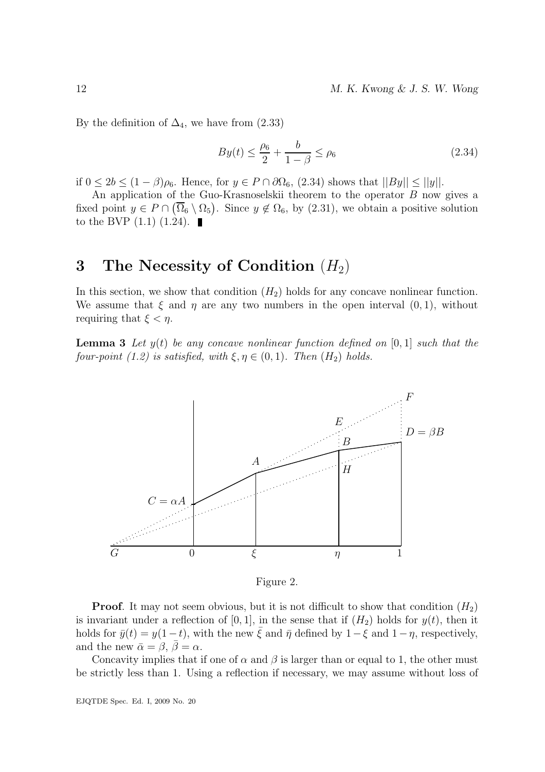12 M. K. Kwong & J. S. W. Wong

By the definition of  $\Delta_4$ , we have from (2.33)

$$
By(t) \le \frac{\rho_6}{2} + \frac{b}{1 - \beta} \le \rho_6 \tag{2.34}
$$

if  $0 \leq 2b \leq (1-\beta)\rho_6$ . Hence, for  $y \in P \cap \partial\Omega_6$ ,  $(2.34)$  shows that  $||By|| \leq ||y||$ .

An application of the Guo-Krasnoselskii theorem to the operator B now gives a fixed point  $y \in P \cap (\overline{\Omega}_6 \setminus \Omega_5)$ . Since  $y \notin \Omega_6$ , by  $(2.31)$ , we obtain a positive solution to the BVP  $(1.1)$   $(1.24)$ .

### 3 The Necessity of Condition  $(H_2)$

In this section, we show that condition  $(H_2)$  holds for any concave nonlinear function. We assume that  $\xi$  and  $\eta$  are any two numbers in the open interval  $(0, 1)$ , without requiring that  $\xi < \eta$ .

**Lemma 3** Let  $y(t)$  be any concave nonlinear function defined on [0, 1] such that the four-point (1.2) is satisfied, with  $\xi, \eta \in (0,1)$ . Then  $(H_2)$  holds.



Figure 2.

**Proof.** It may not seem obvious, but it is not difficult to show that condition  $(H_2)$ is invariant under a reflection of [0, 1], in the sense that if  $(H_2)$  holds for  $y(t)$ , then it holds for  $\bar{y}(t) = y(1-t)$ , with the new  $\bar{\xi}$  and  $\bar{\eta}$  defined by  $1-\xi$  and  $1-\eta$ , respectively, and the new  $\bar{\alpha} = \beta$ ,  $\bar{\beta} = \alpha$ .

Concavity implies that if one of  $\alpha$  and  $\beta$  is larger than or equal to 1, the other must be strictly less than 1. Using a reflection if necessary, we may assume without loss of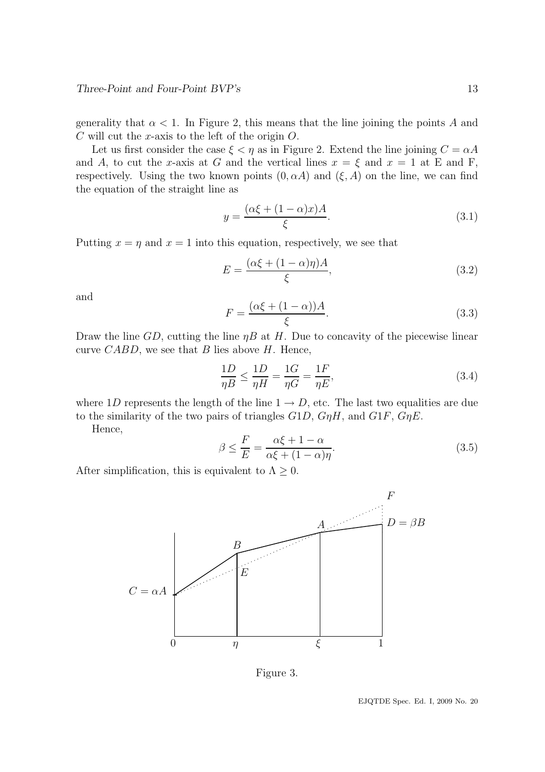generality that  $\alpha < 1$ . In Figure 2, this means that the line joining the points A and  $C$  will cut the x-axis to the left of the origin  $O$ .

Let us first consider the case  $\xi < \eta$  as in Figure 2. Extend the line joining  $C = \alpha A$ and A, to cut the x-axis at G and the vertical lines  $x = \xi$  and  $x = 1$  at E and F, respectively. Using the two known points  $(0, \alpha A)$  and  $(\xi, A)$  on the line, we can find the equation of the straight line as

$$
y = \frac{(\alpha \xi + (1 - \alpha)x)A}{\xi}.
$$
\n(3.1)

Putting  $x = \eta$  and  $x = 1$  into this equation, respectively, we see that

$$
E = \frac{(\alpha \xi + (1 - \alpha)\eta)A}{\xi},\tag{3.2}
$$

and

$$
F = \frac{(\alpha \xi + (1 - \alpha))A}{\xi}.
$$
\n(3.3)

Draw the line GD, cutting the line  $\eta B$  at H. Due to concavity of the piecewise linear curve CABD, we see that B lies above  $H$ . Hence,

$$
\frac{1D}{\eta B} \le \frac{1D}{\eta H} = \frac{1G}{\eta G} = \frac{1F}{\eta E},\tag{3.4}
$$

where 1D represents the length of the line  $1 \rightarrow D$ , etc. The last two equalities are due to the similarity of the two pairs of triangles  $G1D$ ,  $GnH$ , and  $G1F$ ,  $GnE$ .

Hence,

$$
\beta \le \frac{F}{E} = \frac{\alpha \xi + 1 - \alpha}{\alpha \xi + (1 - \alpha)\eta}.
$$
\n(3.5)

After simplification, this is equivalent to  $\Lambda \geq 0$ .



Figure 3.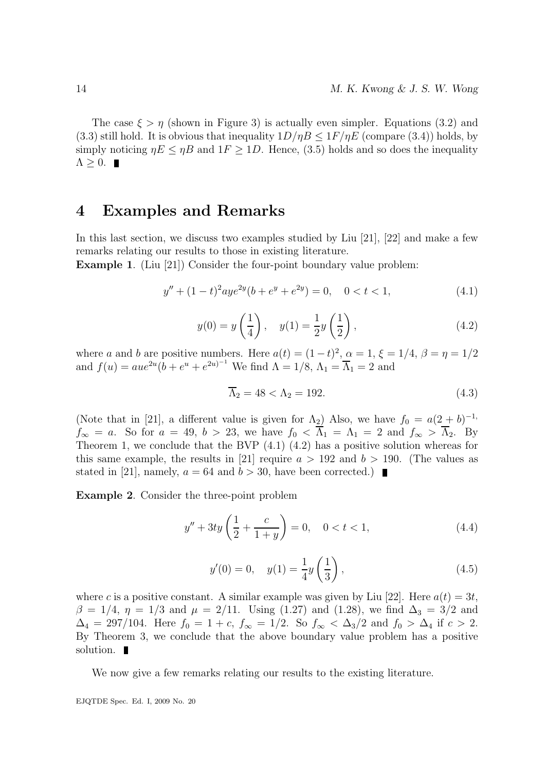The case  $\xi > \eta$  (shown in Figure 3) is actually even simpler. Equations (3.2) and (3.3) still hold. It is obvious that inequality  $1D/\eta B \leq 1F/\eta E$  (compare (3.4)) holds, by simply noticing  $\eta E \leq \eta B$  and  $1F \geq 1D$ . Hence, (3.5) holds and so does the inequality  $\Lambda \geq 0$ .

### 4 Examples and Remarks

In this last section, we discuss two examples studied by Liu [21], [22] and make a few remarks relating our results to those in existing literature.

Example 1. (Liu [21]) Consider the four-point boundary value problem:

$$
y'' + (1 - t)^2 a y e^{2y} (b + e^y + e^{2y}) = 0, \quad 0 < t < 1,
$$
\n(4.1)

$$
y(0) = y\left(\frac{1}{4}\right), \quad y(1) = \frac{1}{2}y\left(\frac{1}{2}\right),
$$
 (4.2)

where a and b are positive numbers. Here  $a(t) = (1-t)^2$ ,  $\alpha = 1$ ,  $\xi = 1/4$ ,  $\beta = \eta = 1/2$ and  $f(u) = aue^{2u} (b + e^u + e^{2u})^{-1}$  We find  $\Lambda = 1/8$ ,  $\Lambda_1 = \overline{\Lambda}_1 = 2$  and

$$
\overline{\Lambda}_2 = 48 < \Lambda_2 = 192. \tag{4.3}
$$

(Note that in [21], a different value is given for  $\Lambda_2$ ) Also, we have  $f_0 = a(2 + b)^{-1}$ ,  $f_{\infty} = a$ . So for  $a = 49$ ,  $b > 23$ , we have  $f_0 < \overline{\Lambda}_1 = \Lambda_1 = 2$  and  $f_{\infty} > \overline{\Lambda}_2$ . By Theorem 1, we conclude that the BVP (4.1) (4.2) has a positive solution whereas for this same example, the results in [21] require  $a > 192$  and  $b > 190$ . (The values as stated in [21], namely,  $a = 64$  and  $b > 30$ , have been corrected.)

Example 2. Consider the three-point problem

$$
y'' + 3ty\left(\frac{1}{2} + \frac{c}{1+y}\right) = 0, \quad 0 < t < 1,\tag{4.4}
$$

$$
y'(0) = 0, \quad y(1) = \frac{1}{4}y(\frac{1}{3}),
$$
 (4.5)

where c is a positive constant. A similar example was given by Liu [22]. Here  $a(t) = 3t$ ,  $\beta = 1/4$ ,  $\eta = 1/3$  and  $\mu = 2/11$ . Using (1.27) and (1.28), we find  $\Delta_3 = 3/2$  and  $\Delta_4 = 297/104$ . Here  $f_0 = 1 + c$ ,  $f_{\infty} = 1/2$ . So  $f_{\infty} < \Delta_3/2$  and  $f_0 > \Delta_4$  if  $c > 2$ . By Theorem 3, we conclude that the above boundary value problem has a positive solution.  $\blacksquare$ 

We now give a few remarks relating our results to the existing literature.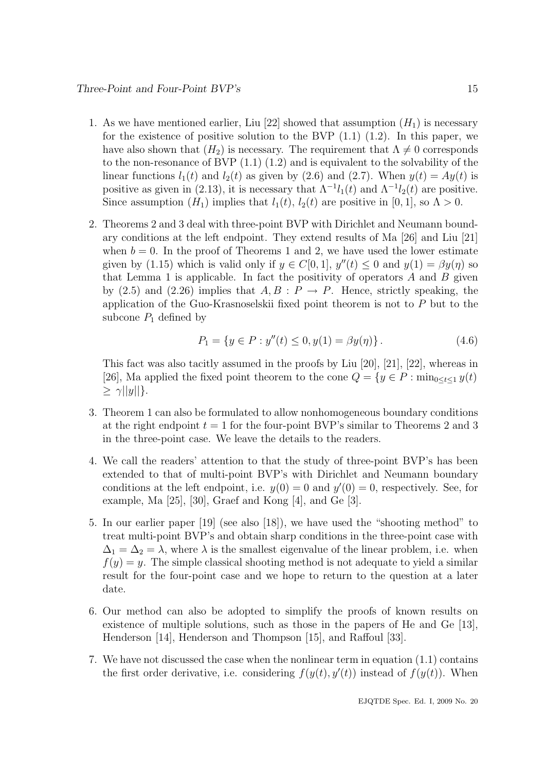- 1. As we have mentioned earlier, Liu [22] showed that assumption  $(H_1)$  is necessary for the existence of positive solution to the BVP  $(1.1)$   $(1.2)$ . In this paper, we have also shown that  $(H_2)$  is necessary. The requirement that  $\Lambda \neq 0$  corresponds to the non-resonance of BVP (1.1) (1.2) and is equivalent to the solvability of the linear functions  $l_1(t)$  and  $l_2(t)$  as given by (2.6) and (2.7). When  $y(t) = Ay(t)$  is positive as given in (2.13), it is necessary that  $\Lambda^{-1}l_1(t)$  and  $\Lambda^{-1}l_2(t)$  are positive. Since assumption  $(H_1)$  implies that  $l_1(t)$ ,  $l_2(t)$  are positive in [0, 1], so  $\Lambda > 0$ .
- 2. Theorems 2 and 3 deal with three-point BVP with Dirichlet and Neumann boundary conditions at the left endpoint. They extend results of Ma [26] and Liu [21] when  $b = 0$ . In the proof of Theorems 1 and 2, we have used the lower estimate given by (1.15) which is valid only if  $y \in C[0,1]$ ,  $y''(t) \le 0$  and  $y(1) = \beta y(\eta)$  so that Lemma 1 is applicable. In fact the positivity of operators  $A$  and  $B$  given by (2.5) and (2.26) implies that  $A, B : P \to P$ . Hence, strictly speaking, the application of the Guo-Krasnoselskii fixed point theorem is not to P but to the subcone  $P_1$  defined by

$$
P_1 = \{ y \in P : y''(t) \le 0, y(1) = \beta y(\eta) \}.
$$
\n(4.6)

This fact was also tacitly assumed in the proofs by Liu [20], [21], [22], whereas in [26], Ma applied the fixed point theorem to the cone  $Q = \{y \in P : \min_{0 \le t \le 1} y(t)\}$  $\geq \gamma ||y||$ .

- 3. Theorem 1 can also be formulated to allow nonhomogeneous boundary conditions at the right endpoint  $t = 1$  for the four-point BVP's similar to Theorems 2 and 3 in the three-point case. We leave the details to the readers.
- 4. We call the readers' attention to that the study of three-point BVP's has been extended to that of multi-point BVP's with Dirichlet and Neumann boundary conditions at the left endpoint, i.e.  $y(0) = 0$  and  $y'(0) = 0$ , respectively. See, for example, Ma [25], [30], Graef and Kong [4], and Ge [3].
- 5. In our earlier paper [19] (see also [18]), we have used the "shooting method" to treat multi-point BVP's and obtain sharp conditions in the three-point case with  $\Delta_1 = \Delta_2 = \lambda$ , where  $\lambda$  is the smallest eigenvalue of the linear problem, i.e. when  $f(y) = y$ . The simple classical shooting method is not adequate to yield a similar result for the four-point case and we hope to return to the question at a later date.
- 6. Our method can also be adopted to simplify the proofs of known results on existence of multiple solutions, such as those in the papers of He and Ge [13], Henderson [14], Henderson and Thompson [15], and Raffoul [33].
- 7. We have not discussed the case when the nonlinear term in equation (1.1) contains the first order derivative, i.e. considering  $f(y(t), y'(t))$  instead of  $f(y(t))$ . When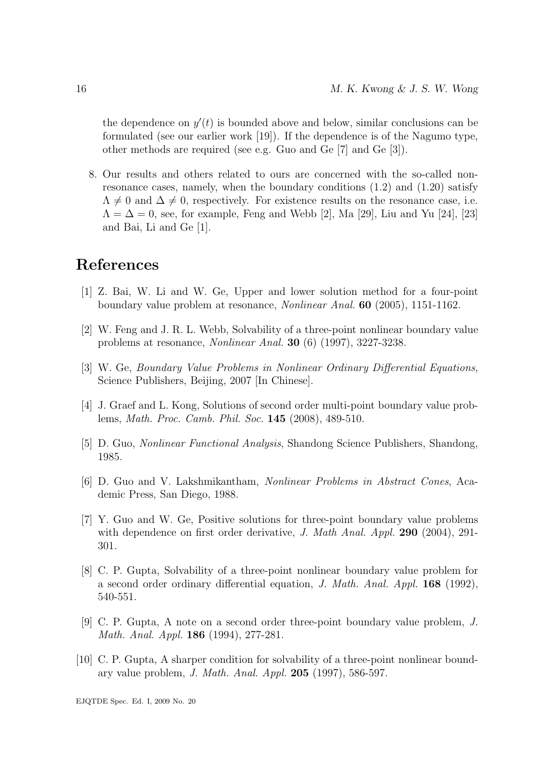the dependence on  $y'(t)$  is bounded above and below, similar conclusions can be formulated (see our earlier work [19]). If the dependence is of the Nagumo type, other methods are required (see e.g. Guo and Ge [7] and Ge [3]).

8. Our results and others related to ours are concerned with the so-called nonresonance cases, namely, when the boundary conditions  $(1.2)$  and  $(1.20)$  satisfy  $\Lambda \neq 0$  and  $\Delta \neq 0$ , respectively. For existence results on the resonance case, i.e.  $\Lambda = \Delta = 0$ , see, for example, Feng and Webb [2], Ma [29], Liu and Yu [24], [23] and Bai, Li and Ge [1].

## References

- [1] Z. Bai, W. Li and W. Ge, Upper and lower solution method for a four-point boundary value problem at resonance, Nonlinear Anal. 60 (2005), 1151-1162.
- [2] W. Feng and J. R. L. Webb, Solvability of a three-point nonlinear boundary value problems at resonance, Nonlinear Anal. 30 (6) (1997), 3227-3238.
- [3] W. Ge, Boundary Value Problems in Nonlinear Ordinary Differential Equations, Science Publishers, Beijing, 2007 [In Chinese].
- [4] J. Graef and L. Kong, Solutions of second order multi-point boundary value problems, Math. Proc. Camb. Phil. Soc. 145 (2008), 489-510.
- [5] D. Guo, Nonlinear Functional Analysis, Shandong Science Publishers, Shandong, 1985.
- [6] D. Guo and V. Lakshmikantham, Nonlinear Problems in Abstract Cones, Academic Press, San Diego, 1988.
- [7] Y. Guo and W. Ge, Positive solutions for three-point boundary value problems with dependence on first order derivative, J. Math Anal. Appl. 290 (2004), 291-301.
- [8] C. P. Gupta, Solvability of a three-point nonlinear boundary value problem for a second order ordinary differential equation, J. Math. Anal. Appl. 168 (1992), 540-551.
- [9] C. P. Gupta, A note on a second order three-point boundary value problem, J. Math. Anal. Appl. 186 (1994), 277-281.
- [10] C. P. Gupta, A sharper condition for solvability of a three-point nonlinear boundary value problem, J. Math. Anal. Appl. 205 (1997), 586-597.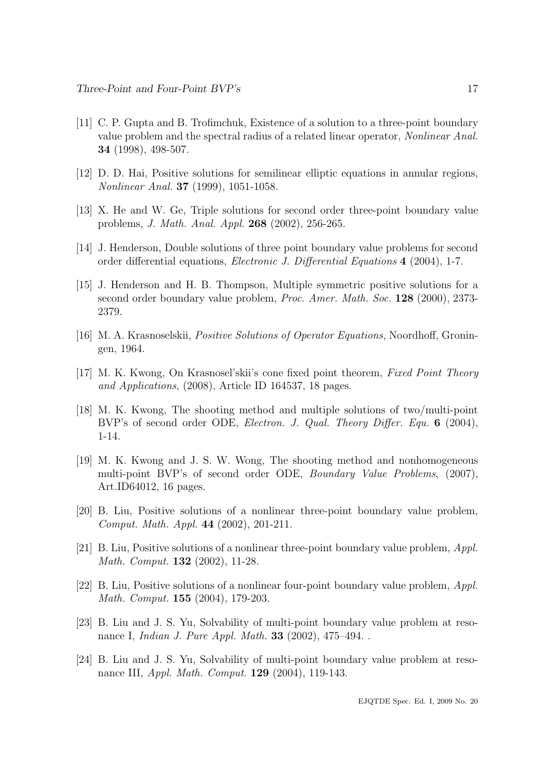- [11] C. P. Gupta and B. Trofimchuk, Existence of a solution to a three-point boundary value problem and the spectral radius of a related linear operator, Nonlinear Anal. 34 (1998), 498-507.
- [12] D. D. Hai, Positive solutions for semilinear elliptic equations in annular regions, Nonlinear Anal. 37 (1999), 1051-1058.
- [13] X. He and W. Ge, Triple solutions for second order three-point boundary value problems, J. Math. Anal. Appl. 268 (2002), 256-265.
- [14] J. Henderson, Double solutions of three point boundary value problems for second order differential equations, Electronic J. Differential Equations 4 (2004), 1-7.
- [15] J. Henderson and H. B. Thompson, Multiple symmetric positive solutions for a second order boundary value problem, *Proc. Amer. Math. Soc.* **128** (2000), 2373-2379.
- [16] M. A. Krasnoselskii, Positive Solutions of Operator Equations, Noordhoff, Groningen, 1964.
- [17] M. K. Kwong, On Krasnosel'skii's cone fixed point theorem, Fixed Point Theory and Applications, (2008), Article ID 164537, 18 pages.
- [18] M. K. Kwong, The shooting method and multiple solutions of two/multi-point BVP's of second order ODE, *Electron. J. Qual. Theory Differ. Equ.* 6 (2004), 1-14.
- [19] M. K. Kwong and J. S. W. Wong, The shooting method and nonhomogeneous multi-point BVP's of second order ODE, *Boundary Value Problems*, (2007), Art.ID64012, 16 pages.
- [20] B. Liu, Positive solutions of a nonlinear three-point boundary value problem, Comput. Math. Appl. 44 (2002), 201-211.
- [21] B. Liu, Positive solutions of a nonlinear three-point boundary value problem, Appl. Math. Comput. 132 (2002), 11-28.
- [22] B. Liu, Positive solutions of a nonlinear four-point boundary value problem, Appl. Math. Comput. 155 (2004), 179-203.
- [23] B. Liu and J. S. Yu, Solvability of multi-point boundary value problem at resonance I, Indian J. Pure Appl. Math. 33 (2002), 475–494. .
- [24] B. Liu and J. S. Yu, Solvability of multi-point boundary value problem at resonance III, *Appl. Math. Comput.* **129** (2004), 119-143.